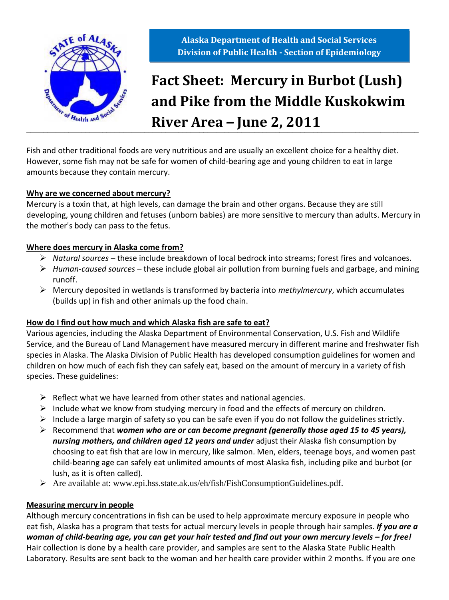

**Alaska Department of Health and Social Services Division of Public Health - Section of Epidemiology**

# **\_\_\_\_\_\_\_\_\_\_\_\_\_\_\_\_\_\_\_\_\_\_\_\_\_\_\_\_\_\_\_\_\_\_\_\_\_\_\_\_\_\_\_\_\_\_\_\_\_\_\_\_\_\_\_\_\_\_\_\_\_\_\_\_\_\_\_\_\_\_\_\_\_\_\_\_\_\_\_\_\_\_\_\_\_\_\_\_\_\_\_\_\_ River Area** *–* **June 2, 2011Fact Sheet: Mercury in Burbot (Lush) and Pike from the Middle Kuskokwim**

Fish and other traditional foods are very nutritious and are usually an excellent choice for a healthy diet. However, some fish may not be safe for women of child-bearing age and young children to eat in large amounts because they contain mercury.

#### **Why are we concerned about mercury?**

Mercury is a toxin that, at high levels, can damage the brain and other organs. Because they are still developing, young children and fetuses (unborn babies) are more sensitive to mercury than adults. Mercury in the mother's body can pass to the fetus.

### **Where does mercury in Alaska come from?**

- *Natural sources –* these include breakdown of local bedrock into streams; forest fires and volcanoes.
- *Human-caused sources –* these include global air pollution from burning fuels and garbage, and mining runoff.
- Mercury deposited in wetlands is transformed by bacteria into *methylmercury*, which accumulates (builds up) in fish and other animals up the food chain.

### **How do I find out how much and which Alaska fish are safe to eat?**

Various agencies, including the Alaska Department of Environmental Conservation, U.S. Fish and Wildlife Service, and the Bureau of Land Management have measured mercury in different marine and freshwater fish species in Alaska. The Alaska Division of Public Health has developed consumption guidelines for women and children on how much of each fish they can safely eat, based on the amount of mercury in a variety of fish species. These guidelines:

- $\triangleright$  Reflect what we have learned from other states and national agencies.
- $\triangleright$  Include what we know from studying mercury in food and the effects of mercury on children.
- $\triangleright$  Include a large margin of safety so you can be safe even if you do not follow the guidelines strictly.
- Recommend that *women who are or can become pregnant (generally those aged 15 to 45 years), nursing mothers, and children aged 12 years and under* adjust their Alaska fish consumption by choosing to eat fish that are low in mercury, like salmon. Men, elders, teenage boys, and women past child-bearing age can safely eat unlimited amounts of most Alaska fish, including pike and burbot (or lush, as it is often called).
- Are available at: www.epi.hss.state.ak.us/eh/fish/FishConsumptionGuidelines.pdf.

### **Measuring mercury in people**

Although mercury concentrations in fish can be used to help approximate mercury exposure in people who eat fish, Alaska has a program that tests for actual mercury levels in people through hair samples. *If you are a woman of child-bearing age, you can get your hair tested and find out your own mercury levels – for free!* Hair collection is done by a health care provider, and samples are sent to the Alaska State Public Health Laboratory. Results are sent back to the woman and her health care provider within 2 months. If you are one